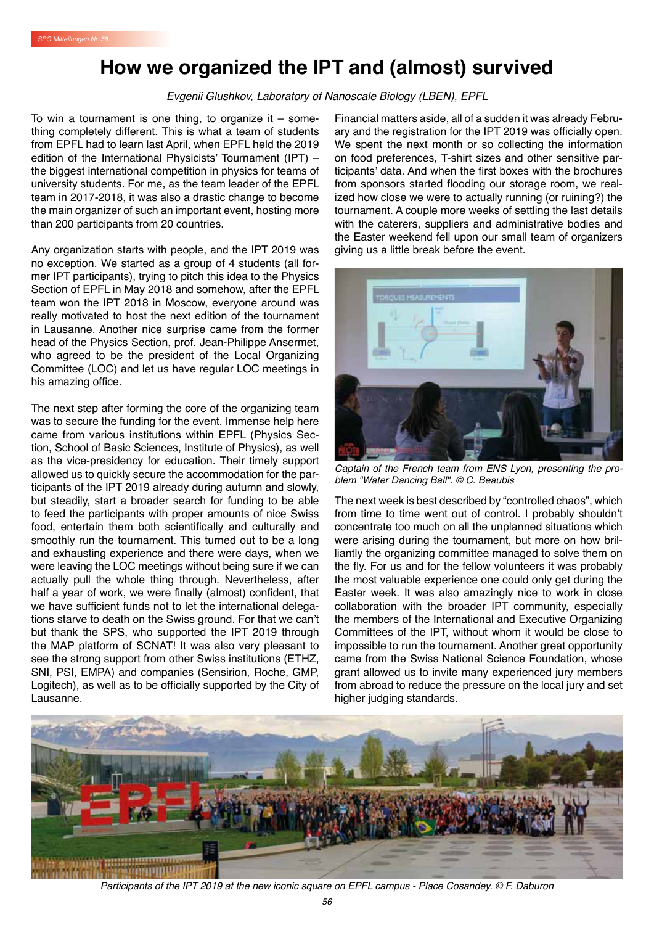## **How we organized the IPT and (almost) survived**

*Evgenii Glushkov, Laboratory of Nanoscale Biology (LBEN), EPFL*

To win a tournament is one thing, to organize it  $-$  something completely different. This is what a team of students from EPFL had to learn last April, when EPFL held the 2019 edition of the International Physicists' Tournament (IPT) – the biggest international competition in physics for teams of university students. For me, as the team leader of the EPFL team in 2017-2018, it was also a drastic change to become the main organizer of such an important event, hosting more than 200 participants from 20 countries.

Any organization starts with people, and the IPT 2019 was no exception. We started as a group of 4 students (all former IPT participants), trying to pitch this idea to the Physics Section of EPFL in May 2018 and somehow, after the EPFL team won the IPT 2018 in Moscow, everyone around was really motivated to host the next edition of the tournament in Lausanne. Another nice surprise came from the former head of the Physics Section, prof. Jean-Philippe Ansermet, who agreed to be the president of the Local Organizing Committee (LOC) and let us have regular LOC meetings in his amazing office.

The next step after forming the core of the organizing team was to secure the funding for the event. Immense help here came from various institutions within EPFL (Physics Section, School of Basic Sciences, Institute of Physics), as well as the vice-presidency for education. Their timely support allowed us to quickly secure the accommodation for the participants of the IPT 2019 already during autumn and slowly, but steadily, start a broader search for funding to be able to feed the participants with proper amounts of nice Swiss food, entertain them both scientifically and culturally and smoothly run the tournament. This turned out to be a long and exhausting experience and there were days, when we were leaving the LOC meetings without being sure if we can actually pull the whole thing through. Nevertheless, after half a year of work, we were finally (almost) confident, that we have sufficient funds not to let the international delegations starve to death on the Swiss ground. For that we can't but thank the SPS, who supported the IPT 2019 through the MAP platform of SCNAT! It was also very pleasant to see the strong support from other Swiss institutions (ETHZ, SNI, PSI, EMPA) and companies (Sensirion, Roche, GMP, Logitech), as well as to be officially supported by the City of Lausanne.

Financial matters aside, all of a sudden it was already February and the registration for the IPT 2019 was officially open. We spent the next month or so collecting the information on food preferences, T-shirt sizes and other sensitive participants' data. And when the first boxes with the brochures from sponsors started flooding our storage room, we realized how close we were to actually running (or ruining?) the tournament. A couple more weeks of settling the last details with the caterers, suppliers and administrative bodies and the Easter weekend fell upon our small team of organizers giving us a little break before the event.



*Captain of the French team from ENS Lyon, presenting the problem "Water Dancing Ball". © C. Beaubis*

The next week is best described by "controlled chaos", which from time to time went out of control. I probably shouldn't concentrate too much on all the unplanned situations which were arising during the tournament, but more on how brilliantly the organizing committee managed to solve them on the fly. For us and for the fellow volunteers it was probably the most valuable experience one could only get during the Easter week. It was also amazingly nice to work in close collaboration with the broader IPT community, especially the members of the International and Executive Organizing Committees of the IPT, without whom it would be close to impossible to run the tournament. Another great opportunity came from the Swiss National Science Foundation, whose grant allowed us to invite many experienced jury members from abroad to reduce the pressure on the local jury and set higher judging standards.



*Participants of the IPT 2019 at the new iconic square on EPFL campus - Place Cosandey. © F. Daburon*